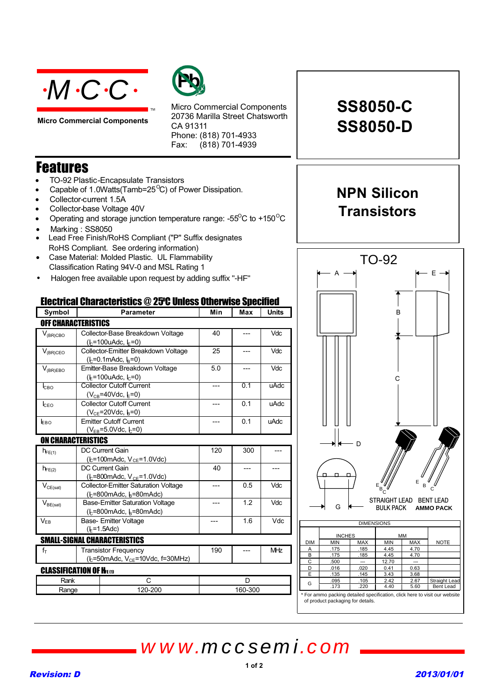

**Micro Commercial Components**



Micro Commercial Components 20736 Marilla Street Chatsworth CA 91311 Phone: (818) 701-4933 Fax:  $(818)$  701-4939

## Features

- TO-92 Plastic-Encapsulate Transistors
- Capable of 1.0Watts(Tamb=25 $\mathrm{^{\circ}C}$ ) of Power Dissipation.
- Collector-current 1.5A
- Collector-base Voltage 40V
- Operating and storage junction temperature range: - $55^{\circ}$ C to +150 $^{\circ}$ C

TM

- Marking: SS8050
- Lead Free Finish/RoHS Compliant ("P" Suffix designates RoHS Compliant. See ordering information)
- Case Material: Molded Plastic. UL Flammability Classification Rating 94V-0 and MSL Rating 1

 $(l_c=800$ mAdc,  $l_b=80$ mAdc)

 $(k=800$ mAdc,  $k=80$ mAdc)

 $(k=50$ mAdc,  $V_{CE}$ =10Vdc, f=30MHz)

Rank C D

 $V_{BE(sat)}$  Base-Emitter Saturation Voltage

V<sub>EB</sub> Base- Emitter Voltage  $(k=1.5$ Adc)

SMALL-SIGNAL CHARACTERISTICS  $f_{T}$  Transistor Frequency

**CLASSIFICATION OF HELM** 

• Halogen free available upon request by adding suffix "-HF"

### Electrical Characteristics @ 25O C Unless Otherwise Specified

| Symbol                     | <b>Parameter</b>                                                    | Min | Max | <b>Units</b> |  |
|----------------------------|---------------------------------------------------------------------|-----|-----|--------------|--|
| <b>OFF CHARACTERISTICS</b> |                                                                     |     |     |              |  |
| $V_{(BR)CBO}$              | Collector-Base Breakdown Voltage<br>$(k=100u$ Adc, $k=0$            | 40  |     | Vdc          |  |
| $V_{(BR)CEO}$              | Collector-Emitter Breakdown Voltage<br>$(k=0.1$ mAdc, $k=0$         | 25  |     | Vdc          |  |
| $V_{(BR)EBO}$              | Emitter-Base Breakdown Voltage<br>$(k=100u$ Adc, $k=0$ )            | 5.0 |     | Vdc          |  |
| Iсво                       | <b>Collector Cutoff Current</b><br>$(V_{CB} = 40$ Vdc, $E = 0$      |     | 0.1 | uAdc         |  |
| <b>I</b> CEO               | <b>Collector Cutoff Current</b><br>$(V_{CE} = 20$ Vdc, $I_5 = 0)$   |     | 0.1 | uAdc         |  |
| EBO                        | <b>Emitter Cutoff Current</b><br>$(V_{FB} = 5.0$ Vdc, $E = 0$       |     | 0.1 | uAdc         |  |
| <b>ON CHARACTERISTICS</b>  |                                                                     |     |     |              |  |
| $h_{FE(1)}$                | DC Current Gain<br>$(b=100 \text{m}$ Adc, $V_{CE}=1.0 \text{V}$ dc) | 120 | 300 |              |  |
| $h_{FE(2)}$                | DC Current Gain<br>( $k = 800$ mAdc, $V_{CE} = 1.0$ Vdc)            | 40  |     |              |  |
| $V_{CE(sat)}$              | <b>Collector-Emitter Saturation Voltage</b>                         |     | 0.5 | Vdc          |  |



*www.mccsemi.com*

# **SS8050-C SS8050-D**

## **NPN Silicon Transistors**

TO-92